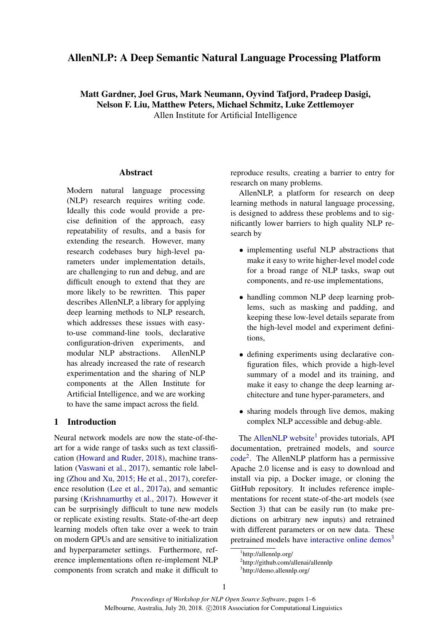# AllenNLP: A Deep Semantic Natural Language Processing Platform

# Matt Gardner, Joel Grus, Mark Neumann, Oyvind Tafjord, Pradeep Dasigi, Nelson F. Liu, Matthew Peters, Michael Schmitz, Luke Zettlemoyer Allen Institute for Artificial Intelligence

**Abstract** 

Modern natural language processing (NLP) research requires writing code. Ideally this code would provide a precise definition of the approach, easy repeatability of results, and a basis for extending the research. However, many research codebases bury high-level parameters under implementation details, are challenging to run and debug, and are difficult enough to extend that they are more likely to be rewritten. This paper describes AllenNLP, a library for applying deep learning methods to NLP research, which addresses these issues with easyto-use command-line tools, declarative configuration-driven experiments, and modular NLP abstractions. AllenNLP has already increased the rate of research experimentation and the sharing of NLP components at the Allen Institute for Artificial Intelligence, and we are working to have the same impact across the field.

# 1 Introduction

Neural network models are now the state-of-theart for a wide range of tasks such as text classification [\(Howard and Ruder,](#page-4-0) [2018\)](#page-4-0), machine translation [\(Vaswani et al.,](#page-5-0) [2017\)](#page-5-0), semantic role labeling [\(Zhou and Xu,](#page-5-1) [2015;](#page-5-1) [He et al.,](#page-4-1) [2017\)](#page-4-1), coreference resolution [\(Lee et al.,](#page-4-2) [2017a\)](#page-4-2), and semantic parsing [\(Krishnamurthy et al.,](#page-4-3) [2017\)](#page-4-3). However it can be surprisingly difficult to tune new models or replicate existing results. State-of-the-art deep learning models often take over a week to train on modern GPUs and are sensitive to initialization and hyperparameter settings. Furthermore, reference implementations often re-implement NLP components from scratch and make it difficult to reproduce results, creating a barrier to entry for research on many problems.

AllenNLP, a platform for research on deep learning methods in natural language processing, is designed to address these problems and to significantly lower barriers to high quality NLP research by

- implementing useful NLP abstractions that make it easy to write higher-level model code for a broad range of NLP tasks, swap out components, and re-use implementations,
- handling common NLP deep learning problems, such as masking and padding, and keeping these low-level details separate from the high-level model and experiment definitions,
- defining experiments using declarative configuration files, which provide a high-level summary of a model and its training, and make it easy to change the deep learning architecture and tune hyper-parameters, and
- sharing models through live demos, making complex NLP accessible and debug-able.

The [AllenNLP website](http://allennlp.org)<sup>[1](#page-0-0)</sup> provides tutorials, API documentation, pretrained models, and [source](https://github.com/allenai/allennlp) [code](https://github.com/allenai/allennlp)[2](#page-0-1) . The AllenNLP platform has a permissive Apache 2.0 license and is easy to download and install via pip, a Docker image, or cloning the GitHub repository. It includes reference implementations for recent state-of-the-art models (see Section [3\)](#page-2-0) that can be easily run (to make predictions on arbitrary new inputs) and retrained with different parameters or on new data. These pretrained models have [interactive online demos](http://demo.allennlp.org)<sup>[3](#page-0-2)</sup>

<span id="page-0-0"></span><sup>1</sup> http://allennlp.org/

<span id="page-0-1"></span><sup>2</sup> http://github.com/allenai/allennlp

<span id="page-0-2"></span><sup>3</sup> http://demo.allennlp.org/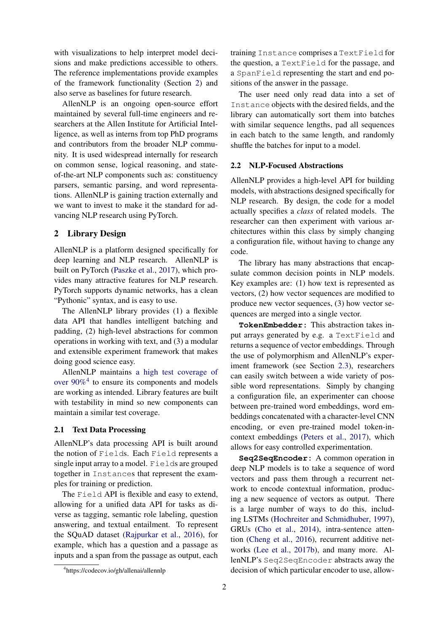with visualizations to help interpret model decisions and make predictions accessible to others. The reference implementations provide examples of the framework functionality (Section [2\)](#page-1-0) and also serve as baselines for future research.

AllenNLP is an ongoing open-source effort maintained by several full-time engineers and researchers at the Allen Institute for Artificial Intelligence, as well as interns from top PhD programs and contributors from the broader NLP community. It is used widespread internally for research on common sense, logical reasoning, and stateof-the-art NLP components such as: constituency parsers, semantic parsing, and word representations. AllenNLP is gaining traction externally and we want to invest to make it the standard for advancing NLP research using PyTorch.

### <span id="page-1-0"></span>2 Library Design

AllenNLP is a platform designed specifically for deep learning and NLP research. AllenNLP is built on PyTorch [\(Paszke et al.,](#page-4-4) [2017\)](#page-4-4), which provides many attractive features for NLP research. PyTorch supports dynamic networks, has a clean "Pythonic" syntax, and is easy to use.

The AllenNLP library provides (1) a flexible data API that handles intelligent batching and padding, (2) high-level abstractions for common operations in working with text, and (3) a modular and extensible experiment framework that makes doing good science easy.

AllenNLP maintains [a high test coverage of](https://codecov.io/gh/allenai/allennlp) over  $90\%$ <sup>[4](#page-1-1)</sup> to ensure its components and models are working as intended. Library features are built with testability in mind so new components can maintain a similar test coverage.

## 2.1 Text Data Processing

AllenNLP's data processing API is built around the notion of Fields. Each Field represents a single input array to a model. Fields are grouped together in Instances that represent the examples for training or prediction.

The Field API is flexible and easy to extend, allowing for a unified data API for tasks as diverse as tagging, semantic role labeling, question answering, and textual entailment. To represent the SQuAD dataset [\(Rajpurkar et al.,](#page-5-2) [2016\)](#page-5-2), for example, which has a question and a passage as inputs and a span from the passage as output, each training Instance comprises a TextField for the question, a TextField for the passage, and a SpanField representing the start and end positions of the answer in the passage.

The user need only read data into a set of Instance objects with the desired fields, and the library can automatically sort them into batches with similar sequence lengths, pad all sequences in each batch to the same length, and randomly shuffle the batches for input to a model.

#### <span id="page-1-2"></span>2.2 NLP-Focused Abstractions

AllenNLP provides a high-level API for building models, with abstractions designed specifically for NLP research. By design, the code for a model actually specifies a *class* of related models. The researcher can then experiment with various architectures within this class by simply changing a configuration file, without having to change any code.

The library has many abstractions that encapsulate common decision points in NLP models. Key examples are: (1) how text is represented as vectors, (2) how vector sequences are modified to produce new vector sequences, (3) how vector sequences are merged into a single vector.

**TokenEmbedder:** This abstraction takes input arrays generated by e.g. a TextField and returns a sequence of vector embeddings. Through the use of polymorphism and AllenNLP's experiment framework (see Section [2.3\)](#page-2-1), researchers can easily switch between a wide variety of possible word representations. Simply by changing a configuration file, an experimenter can choose between pre-trained word embeddings, word embeddings concatenated with a character-level CNN encoding, or even pre-trained model token-incontext embeddings [\(Peters et al.,](#page-5-3) [2017\)](#page-5-3), which allows for easy controlled experimentation.

**Seq2SeqEncoder:** A common operation in deep NLP models is to take a sequence of word vectors and pass them through a recurrent network to encode contextual information, producing a new sequence of vectors as output. There is a large number of ways to do this, including LSTMs [\(Hochreiter and Schmidhuber,](#page-4-5) [1997\)](#page-4-5), GRUs [\(Cho et al.,](#page-4-6) [2014\)](#page-4-6), intra-sentence attention [\(Cheng et al.,](#page-4-7) [2016\)](#page-4-7), recurrent additive networks [\(Lee et al.,](#page-4-8) [2017b\)](#page-4-8), and many more. AllenNLP's Seq2SeqEncoder abstracts away the decision of which particular encoder to use, allow-

<span id="page-1-1"></span><sup>4</sup> https://codecov.io/gh/allenai/allennlp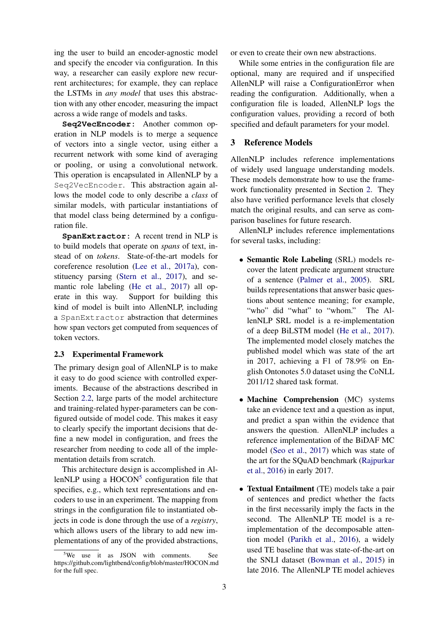ing the user to build an encoder-agnostic model and specify the encoder via configuration. In this way, a researcher can easily explore new recurrent architectures; for example, they can replace the LSTMs in *any model* that uses this abstraction with any other encoder, measuring the impact across a wide range of models and tasks.

**Seq2VecEncoder:** Another common operation in NLP models is to merge a sequence of vectors into a single vector, using either a recurrent network with some kind of averaging or pooling, or using a convolutional network. This operation is encapsulated in AllenNLP by a Seq2VecEncoder. This abstraction again allows the model code to only describe a *class* of similar models, with particular instantiations of that model class being determined by a configuration file.

**SpanExtractor:** A recent trend in NLP is to build models that operate on *spans* of text, instead of on *tokens*. State-of-the-art models for coreference resolution [\(Lee et al.,](#page-4-2) [2017a\)](#page-4-2), constituency parsing [\(Stern et al.,](#page-5-4) [2017\)](#page-5-4), and semantic role labeling [\(He et al.,](#page-4-1) [2017\)](#page-4-1) all operate in this way. Support for building this kind of model is built into AllenNLP, including a SpanExtractor abstraction that determines how span vectors get computed from sequences of token vectors.

#### <span id="page-2-1"></span>2.3 Experimental Framework

The primary design goal of AllenNLP is to make it easy to do good science with controlled experiments. Because of the abstractions described in Section [2.2,](#page-1-2) large parts of the model architecture and training-related hyper-parameters can be configured outside of model code. This makes it easy to clearly specify the important decisions that define a new model in configuration, and frees the researcher from needing to code all of the implementation details from scratch.

This architecture design is accomplished in AllenNLP using a  $HOCON<sup>5</sup>$  $HOCON<sup>5</sup>$  $HOCON<sup>5</sup>$  configuration file that specifies, e.g., which text representations and encoders to use in an experiment. The mapping from strings in the configuration file to instantiated objects in code is done through the use of a *registry*, which allows users of the library to add new implementations of any of the provided abstractions, or even to create their own new abstractions.

While some entries in the configuration file are optional, many are required and if unspecified AllenNLP will raise a ConfigurationError when reading the configuration. Additionally, when a configuration file is loaded, AllenNLP logs the configuration values, providing a record of both specified and default parameters for your model.

## <span id="page-2-0"></span>3 Reference Models

AllenNLP includes reference implementations of widely used language understanding models. These models demonstrate how to use the framework functionality presented in Section [2.](#page-1-0) They also have verified performance levels that closely match the original results, and can serve as comparison baselines for future research.

AllenNLP includes reference implementations for several tasks, including:

- Semantic Role Labeling (SRL) models recover the latent predicate argument structure of a sentence [\(Palmer et al.,](#page-4-9) [2005\)](#page-4-9). SRL builds representations that answer basic questions about sentence meaning; for example, "who" did "what" to "whom." The AllenNLP SRL model is a re-implementation of a deep BiLSTM model [\(He et al.,](#page-4-1) [2017\)](#page-4-1). The implemented model closely matches the published model which was state of the art in 2017, achieving a F1 of 78.9% on English Ontonotes 5.0 dataset using the CoNLL 2011/12 shared task format.
- Machine Comprehension (MC) systems take an evidence text and a question as input, and predict a span within the evidence that answers the question. AllenNLP includes a reference implementation of the BiDAF MC model [\(Seo et al.,](#page-5-5) [2017\)](#page-5-5) which was state of the art for the SQuAD benchmark [\(Rajpurkar](#page-5-2) [et al.,](#page-5-2) [2016\)](#page-5-2) in early 2017.
- Textual Entailment (TE) models take a pair of sentences and predict whether the facts in the first necessarily imply the facts in the second. The AllenNLP TE model is a reimplementation of the decomposable attention model [\(Parikh et al.,](#page-4-10) [2016\)](#page-4-10), a widely used TE baseline that was state-of-the-art on the SNLI dataset [\(Bowman et al.,](#page-4-11) [2015\)](#page-4-11) in late 2016. The AllenNLP TE model achieves

<span id="page-2-2"></span><sup>&</sup>lt;sup>5</sup>We use it as JSON with comments. See https://github.com/lightbend/config/blob/master/HOCON.md for the full spec.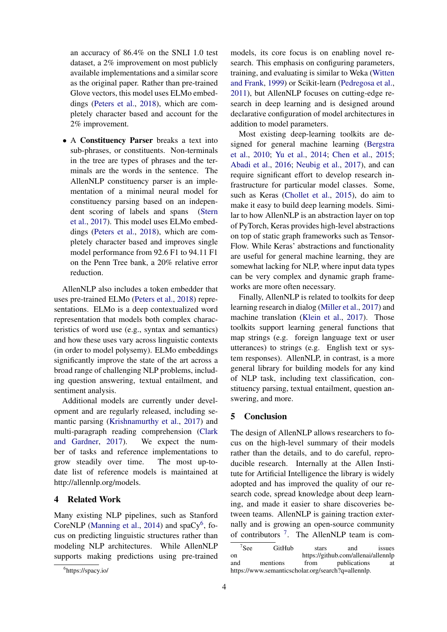an accuracy of 86.4% on the SNLI 1.0 test dataset, a 2% improvement on most publicly available implementations and a similar score as the original paper. Rather than pre-trained Glove vectors, this model uses ELMo embeddings [\(Peters et al.,](#page-5-6) [2018\)](#page-5-6), which are completely character based and account for the 2% improvement.

• A Constituency Parser breaks a text into sub-phrases, or constituents. Non-terminals in the tree are types of phrases and the terminals are the words in the sentence. The AllenNLP constituency parser is an implementation of a minimal neural model for constituency parsing based on an independent scoring of labels and spans [\(Stern](#page-5-4) [et al.,](#page-5-4) [2017\)](#page-5-4). This model uses ELMo embeddings [\(Peters et al.,](#page-5-6) [2018\)](#page-5-6), which are completely character based and improves single model performance from 92.6 F1 to 94.11 F1 on the Penn Tree bank, a 20% relative error reduction.

AllenNLP also includes a token embedder that uses pre-trained ELMo [\(Peters et al.,](#page-5-6) [2018\)](#page-5-6) representations. ELMo is a deep contextualized word representation that models both complex characteristics of word use (e.g., syntax and semantics) and how these uses vary across linguistic contexts (in order to model polysemy). ELMo embeddings significantly improve the state of the art across a broad range of challenging NLP problems, including question answering, textual entailment, and sentiment analysis.

Additional models are currently under development and are regularly released, including semantic parsing [\(Krishnamurthy et al.,](#page-4-3) [2017\)](#page-4-3) and multi-paragraph reading comprehension [\(Clark](#page-4-12) [and Gardner,](#page-4-12) [2017\)](#page-4-12). We expect the number of tasks and reference implementations to grow steadily over time. The most up-todate list of reference models is maintained at http://allennlp.org/models.

# 4 Related Work

Many existing NLP pipelines, such as Stanford CoreNLP [\(Manning et al.,](#page-4-13) [2014\)](#page-4-13) and spaCy<sup>[6](#page-3-0)</sup>, focus on predicting linguistic structures rather than modeling NLP architectures. While AllenNLP supports making predictions using pre-trained models, its core focus is on enabling novel research. This emphasis on configuring parameters, training, and evaluating is similar to Weka [\(Witten](#page-5-7) [and Frank,](#page-5-7) [1999\)](#page-5-7) or Scikit-learn [\(Pedregosa et al.,](#page-5-8) [2011\)](#page-5-8), but AllenNLP focuses on cutting-edge research in deep learning and is designed around declarative configuration of model architectures in addition to model parameters.

Most existing deep-learning toolkits are designed for general machine learning [\(Bergstra](#page-4-14) [et al.,](#page-4-14) [2010;](#page-4-14) [Yu et al.,](#page-5-9) [2014;](#page-5-9) [Chen et al.,](#page-4-15) [2015;](#page-4-15) [Abadi et al.,](#page-4-16) [2016;](#page-4-16) [Neubig et al.,](#page-4-17) [2017\)](#page-4-17), and can require significant effort to develop research infrastructure for particular model classes. Some, such as Keras [\(Chollet et al.,](#page-4-18) [2015\)](#page-4-18), do aim to make it easy to build deep learning models. Similar to how AllenNLP is an abstraction layer on top of PyTorch, Keras provides high-level abstractions on top of static graph frameworks such as Tensor-Flow. While Keras' abstractions and functionality are useful for general machine learning, they are somewhat lacking for NLP, where input data types can be very complex and dynamic graph frameworks are more often necessary.

Finally, AllenNLP is related to toolkits for deep learning research in dialog [\(Miller et al.,](#page-4-19) [2017\)](#page-4-19) and machine translation [\(Klein et al.,](#page-4-20) [2017\)](#page-4-20). Those toolkits support learning general functions that map strings (e.g. foreign language text or user utterances) to strings (e.g. English text or system responses). AllenNLP, in contrast, is a more general library for building models for any kind of NLP task, including text classification, constituency parsing, textual entailment, question answering, and more.

#### 5 Conclusion

The design of AllenNLP allows researchers to focus on the high-level summary of their models rather than the details, and to do careful, reproducible research. Internally at the Allen Institute for Artificial Intelligence the library is widely adopted and has improved the quality of our research code, spread knowledge about deep learning, and made it easier to share discoveries between teams. AllenNLP is gaining traction externally and is growing an open-source community of contributors <sup>[7](#page-3-1)</sup>. The AllenNLP team is com-

<span id="page-3-0"></span><sup>6</sup> https://spacy.io/

<span id="page-3-1"></span> $7S_{\text{PP}}$ GitHub stars and issues on https://github.com/allenai/allennlp<br>and mentions from publications at publications at https://www.semanticscholar.org/search?q=allennlp.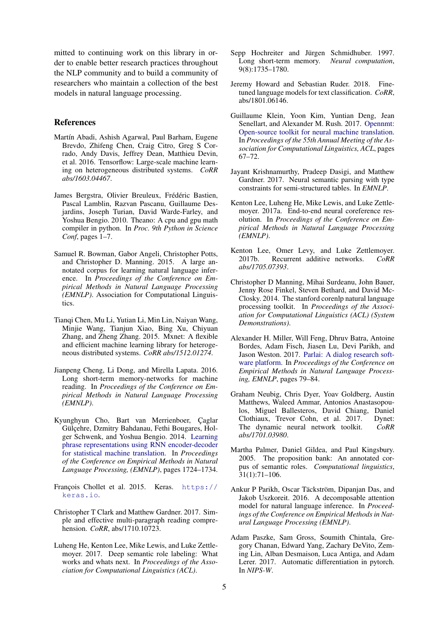mitted to continuing work on this library in order to enable better research practices throughout the NLP community and to build a community of researchers who maintain a collection of the best models in natural language processing.

### References

- <span id="page-4-16"></span>Martín Abadi, Ashish Agarwal, Paul Barham, Eugene Brevdo, Zhifeng Chen, Craig Citro, Greg S Corrado, Andy Davis, Jeffrey Dean, Matthieu Devin, et al. 2016. Tensorflow: Large-scale machine learning on heterogeneous distributed systems. *CoRR abs/1603.04467*.
- <span id="page-4-14"></span>James Bergstra, Olivier Breuleux, Frédéric Bastien, Pascal Lamblin, Razvan Pascanu, Guillaume Desjardins, Joseph Turian, David Warde-Farley, and Yoshua Bengio. 2010. Theano: A cpu and gpu math compiler in python. In *Proc. 9th Python in Science Conf*, pages 1–7.
- <span id="page-4-11"></span>Samuel R. Bowman, Gabor Angeli, Christopher Potts, and Christopher D. Manning. 2015. A large annotated corpus for learning natural language inference. In *Proceedings of the Conference on Empirical Methods in Natural Language Processing (EMNLP)*. Association for Computational Linguistics.
- <span id="page-4-15"></span>Tianqi Chen, Mu Li, Yutian Li, Min Lin, Naiyan Wang, Minjie Wang, Tianjun Xiao, Bing Xu, Chiyuan Zhang, and Zheng Zhang. 2015. Mxnet: A flexible and efficient machine learning library for heterogeneous distributed systems. *CoRR abs/1512.01274*.
- <span id="page-4-7"></span>Jianpeng Cheng, Li Dong, and Mirella Lapata. 2016. Long short-term memory-networks for machine reading. In *Proceedings of the Conference on Empirical Methods in Natural Language Processing (EMNLP)*.
- <span id="page-4-6"></span>Kyunghyun Cho, Bart van Merrienboer, Çaglar Gülçehre, Dzmitry Bahdanau, Fethi Bougares, Holger Schwenk, and Yoshua Bengio. 2014. [Learning](http://aclweb.org/anthology/D/D14/D14-1179.pdf) [phrase representations using RNN encoder-decoder](http://aclweb.org/anthology/D/D14/D14-1179.pdf) [for statistical machine translation.](http://aclweb.org/anthology/D/D14/D14-1179.pdf) In *Proceedings of the Conference on Empirical Methods in Natural Language Processing, (EMNLP)*, pages 1724–1734.
- <span id="page-4-18"></span>François Chollet et al. 2015. Keras. [https://](https://keras.io) [keras.io](https://keras.io).
- <span id="page-4-12"></span>Christopher T Clark and Matthew Gardner. 2017. Simple and effective multi-paragraph reading comprehension. *CoRR*, abs/1710.10723.
- <span id="page-4-1"></span>Luheng He, Kenton Lee, Mike Lewis, and Luke Zettlemoyer. 2017. Deep semantic role labeling: What works and whats next. In *Proceedings of the Association for Computational Linguistics (ACL)*.
- <span id="page-4-5"></span>Sepp Hochreiter and Jürgen Schmidhuber. 1997. Long short-term memory. *Neural computation*, 9(8):1735–1780.
- <span id="page-4-0"></span>Jeremy Howard and Sebastian Ruder. 2018. Finetuned language models for text classification. *CoRR*, abs/1801.06146.
- <span id="page-4-20"></span>Guillaume Klein, Yoon Kim, Yuntian Deng, Jean Senellart, and Alexander M. Rush. 2017. [Opennmt:](https://doi.org/10.18653/v1/P17-4012) [Open-source toolkit for neural machine translation.](https://doi.org/10.18653/v1/P17-4012) In *Proceedings of the 55th Annual Meeting of the Association for Computational Linguistics, ACL*, pages 67–72.
- <span id="page-4-3"></span>Jayant Krishnamurthy, Pradeep Dasigi, and Matthew Gardner. 2017. Neural semantic parsing with type constraints for semi-structured tables. In *EMNLP*.
- <span id="page-4-2"></span>Kenton Lee, Luheng He, Mike Lewis, and Luke Zettlemoyer. 2017a. End-to-end neural coreference resolution. In *Proceedings of the Conference on Empirical Methods in Natural Language Processing (EMNLP)*.
- <span id="page-4-8"></span>Kenton Lee, Omer Levy, and Luke Zettlemoyer. 2017b. Recurrent additive networks. *CoRR abs/1705.07393*.
- <span id="page-4-13"></span>Christopher D Manning, Mihai Surdeanu, John Bauer, Jenny Rose Finkel, Steven Bethard, and David Mc-Closky. 2014. The stanford corenlp natural language processing toolkit. In *Proceedings of the Association for Computational Linguistics (ACL) (System Demonstrations)*.
- <span id="page-4-19"></span>Alexander H. Miller, Will Feng, Dhruv Batra, Antoine Bordes, Adam Fisch, Jiasen Lu, Devi Parikh, and Jason Weston. 2017. [Parlai: A dialog research soft](https://aclanthology.info/papers/D17-2014/d17-2014)[ware platform.](https://aclanthology.info/papers/D17-2014/d17-2014) In *Proceedings of the Conference on Empirical Methods in Natural Language Processing, EMNLP*, pages 79–84.
- <span id="page-4-17"></span>Graham Neubig, Chris Dyer, Yoav Goldberg, Austin Matthews, Waleed Ammar, Antonios Anastasopoulos, Miguel Ballesteros, David Chiang, Daniel Clothiaux, Trevor Cohn, et al. 2017. Dynet: The dynamic neural network toolkit. *CoRR abs/1701.03980*.
- <span id="page-4-9"></span>Martha Palmer, Daniel Gildea, and Paul Kingsbury. 2005. The proposition bank: An annotated corpus of semantic roles. *Computational linguistics*, 31(1):71–106.
- <span id="page-4-10"></span>Ankur P Parikh, Oscar Täckström, Dipanjan Das, and Jakob Uszkoreit. 2016. A decomposable attention model for natural language inference. In *Proceedings of the Conference on Empirical Methods in Natural Language Processing (EMNLP)*.
- <span id="page-4-4"></span>Adam Paszke, Sam Gross, Soumith Chintala, Gregory Chanan, Edward Yang, Zachary DeVito, Zeming Lin, Alban Desmaison, Luca Antiga, and Adam Lerer. 2017. Automatic differentiation in pytorch. In *NIPS-W*.